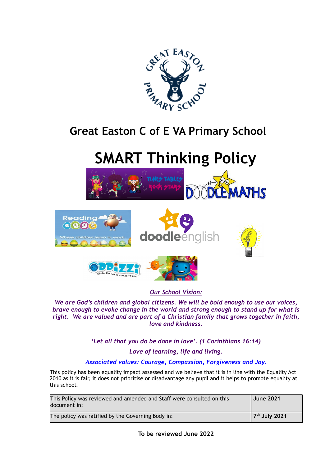

## **Great Easton C of E VA Primary School**

# **SMART Thinking Policy**





#### *Our School Vision:*

*We are God's children and global citizens. We will be bold enough to use our voices, brave enough to evoke change in the world and strong enough to stand up for what is right. We are valued and are part of a Christian family that grows together in faith, love and kindness.*

### *'Let all that you do be done in love'. (1 Corinthians 16:14)*

#### *Love of learning, life and living.*

#### *Associated values: Courage, Compassion, Forgiveness and Joy.*

This policy has been equality impact assessed and we believe that it is in line with the Equality Act 2010 as it is fair, it does not prioritise or disadvantage any pupil and it helps to promote equality at this school.

| This Policy was reviewed and amended and Staff were consulted on this<br>document in: | <b>June 2021</b>          |
|---------------------------------------------------------------------------------------|---------------------------|
| The policy was ratified by the Governing Body in:                                     | 7 <sup>th</sup> July 2021 |

**To be reviewed June 2022**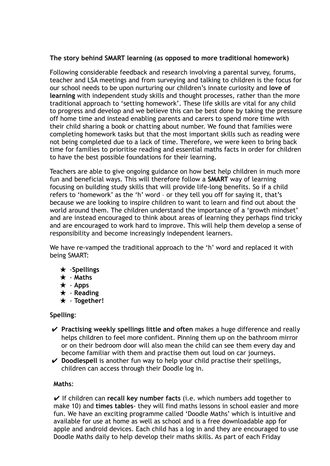#### **The story behind SMART learning (as opposed to more traditional homework)**

Following considerable feedback and research involving a parental survey, forums, teacher and LSA meetings and from surveying and talking to children is the focus for our school needs to be upon nurturing our children's innate curiosity and **love of learning** with independent study skills and thought processes, rather than the more traditional approach to 'setting homework'. These life skills are vital for any child to progress and develop and we believe this can be best done by taking the pressure off home time and instead enabling parents and carers to spend more time with their child sharing a book or chatting about number. We found that families were completing homework tasks but that the most important skills such as reading were not being completed due to a lack of time. Therefore, we were keen to bring back time for families to prioritise reading and essential maths facts in order for children to have the best possible foundations for their learning.

Teachers are able to give ongoing guidance on how best help children in much more fun and beneficial ways. This will therefore follow a **SMART** way of learning focusing on building study skills that will provide life-long benefits. So if a child refers to 'homework' as the 'h' word – or they tell you off for saying it, that's because we are looking to inspire children to want to learn and find out about the world around them. The children understand the importance of a 'growth mindset' and are instead encouraged to think about areas of learning they perhaps find tricky and are encouraged to work hard to improve. This will help them develop a sense of responsibility and become increasingly independent learners.

We have re-vamped the traditional approach to the 'h' word and replaced it with being SMART:

- ★ ‐**Spellings**
- ★ ‐ **Maths**
- ★ ‐ **Apps**
- ★ ‐ **Reading**
- ★ ‐ **Together!**

#### **Spelling**:

- ✔ **Practising weekly spellings little and often** makes a huge difference and really helps children to feel more confident. Pinning them up on the bathroom mirror or on their bedroom door will also mean the child can see them every day and become familiar with them and practise them out loud on car journeys.
- ✔ **Doodlespell** is another fun way to help your child practise their spellings, children can access through their Doodle log in.

#### **Maths**:

✔ If children can **recall key number facts** (i.e. which numbers add together to make 10) and **times tables**- they will find maths lessons in school easier and more fun. We have an exciting programme called 'Doodle Maths' which is intuitive and available for use at home as well as school and is a free downloadable app for apple and android devices. Each child has a log in and they are encouraged to use Doodle Maths daily to help develop their maths skills. As part of each Friday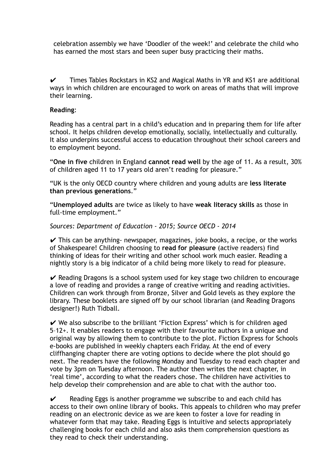celebration assembly we have 'Doodler of the week!' and celebrate the child who has earned the most stars and been super busy practicing their maths.

 $\checkmark$  Times Tables Rockstars in KS2 and Magical Maths in YR and KS1 are additional ways in which children are encouraged to work on areas of maths that will improve their learning.

#### **Reading**:

Reading has a central part in a child's education and in preparing them for life after school. It helps children develop emotionally, socially, intellectually and culturally. It also underpins successful access to education throughout their school careers and to employment beyond.

"**One in five** children in England **cannot read well** by the age of 11. As a result, 30% of children aged 11 to 17 years old aren't reading for pleasure."

"UK is the only OECD country where children and young adults are **less literate than previous generations**."

"**Unemployed adults** are twice as likely to have **weak literacy skills** as those in full-time employment."

#### *Sources: Department of Education - 2015; Source OECD - 2014*

 $\checkmark$  This can be anything- newspaper, magazines, joke books, a recipe, or the works of Shakespeare! Children choosing to **read for pleasure** (active readers) find thinking of ideas for their writing and other school work much easier. Reading a nightly story is a big indicator of a child being more likely to read for pleasure.

 $\vee$  Reading Dragons is a school system used for key stage two children to encourage a love of reading and provides a range of creative writing and reading activities. Children can work through from Bronze, Silver and Gold levels as they explore the library. These booklets are signed off by our school librarian (and Reading Dragons designer!) Ruth Tidball.

 $\vee$  We also subscribe to the brilliant 'Fiction Express' which is for children aged 5–12+. It enables readers to engage with their favourite authors in a unique and original way by allowing them to contribute to the plot. Fiction Express for Schools e-books are published in weekly chapters each Friday. At the end of every cliffhanging chapter there are voting options to decide where the plot should go next. The readers have the following Monday and Tuesday to read each chapter and vote by 3pm on Tuesday afternoon. The author then writes the next chapter, in 'real time', according to what the readers chose. The children have activities to help develop their comprehension and are able to chat with the author too.

 $\checkmark$  Reading Eggs is another programme we subscribe to and each child has access to their own online library of books. This appeals to children who may prefer reading on an electronic device as we are keen to foster a love for reading in whatever form that may take. Reading Eggs is intuitive and selects appropriately challenging books for each child and also asks them comprehension questions as they read to check their understanding.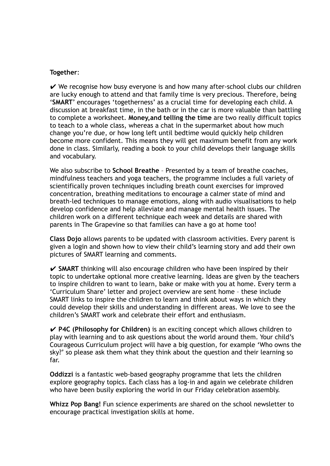#### **Together**:

 $\vee$  We recognise how busy everyone is and how many after-school clubs our children are lucky enough to attend and that family time is very precious. Therefore, being '**SMART**' encourages 'togetherness' as a crucial time for developing each child. A discussion at breakfast time, in the bath or in the car is more valuable than battling to complete a worksheet. **Money,and telling the time** are two really difficult topics to teach to a whole class, whereas a chat in the supermarket about how much change you're due, or how long left until bedtime would quickly help children become more confident. This means they will get maximum benefit from any work done in class. Similarly, reading a book to your child develops their language skills and vocabulary.

We also subscribe to **School Breathe** – Presented by a team of breathe coaches, mindfulness teachers and yoga teachers, the programme includes a full variety of scientifically proven techniques including breath count exercises for improved concentration, breathing meditations to encourage a calmer state of mind and breath-led techniques to manage emotions, along with audio visualisations to help develop confidence and help alleviate and manage mental health issues. The children work on a different technique each week and details are shared with parents in The Grapevine so that families can have a go at home too!

**Class Dojo** allows parents to be updated with classroom activities. Every parent is given a login and shown how to view their child's learning story and add their own pictures of SMART learning and comments.

✔ **SMART** thinking will also encourage children who have been inspired by their topic to undertake optional more creative learning. Ideas are given by the teachers to inspire children to want to learn, bake or make with you at home. Every term a 'Curriculum Share' letter and project overview are sent home – these include SMART links to inspire the children to learn and think about ways in which they could develop their skills and understanding in different areas. We love to see the children's SMART work and celebrate their effort and enthusiasm.

✔ **P4C (Philosophy for Children)** is an exciting concept which allows children to play with learning and to ask questions about the world around them. Your child's Courageous Curriculum project will have a big question, for example 'Who owns the sky?' so please ask them what they think about the question and their learning so far.

**Oddizzi** is a fantastic web-based geography programme that lets the children explore geography topics. Each class has a log-in and again we celebrate children who have been busily exploring the world in our Friday celebration assembly.

**Whizz Pop Bang!** Fun science experiments are shared on the school newsletter to encourage practical investigation skills at home.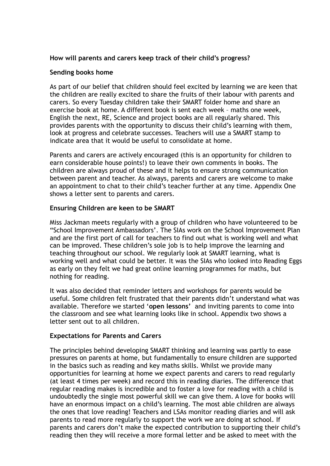#### **How will parents and carers keep track of their child's progress?**

#### **Sending books home**

As part of our belief that children should feel excited by learning we are keen that the children are really excited to share the fruits of their labour with parents and carers. So every Tuesday children take their SMART folder home and share an exercise book at home. A different book is sent each week – maths one week, English the next, RE, Science and project books are all regularly shared. This provides parents with the opportunity to discuss their child's learning with them, look at progress and celebrate successes. Teachers will use a SMART stamp to indicate area that it would be useful to consolidate at home.

Parents and carers are actively encouraged (this is an opportunity for children to earn considerable house points!) to leave their own comments in books. The children are always proud of these and it helps to ensure strong communication between parent and teacher. As always, parents and carers are welcome to make an appointment to chat to their child's teacher further at any time. Appendix One shows a letter sent to parents and carers.

#### **Ensuring Children are keen to be SMART**

Miss Jackman meets regularly with a group of children who have volunteered to be "School Improvement Ambassadors'. The SIAs work on the School Improvement Plan and are the first port of call for teachers to find out what is working well and what can be improved. These children's sole job is to help improve the learning and teaching throughout our school. We regularly look at SMART learning, what is working well and what could be better. It was the SIAs who looked into Reading Eggs as early on they felt we had great online learning programmes for maths, but nothing for reading.

It was also decided that reminder letters and workshops for parents would be useful. Some children felt frustrated that their parents didn't understand what was available. Therefore we started '**open lessons'** and inviting parents to come into the classroom and see what learning looks like in school. Appendix two shows a letter sent out to all children.

#### **Expectations for Parents and Carers**

The principles behind developing SMART thinking and learning was partly to ease pressures on parents at home, but fundamentally to ensure children are supported in the basics such as reading and key maths skills. Whilst we provide many opportunities for learning at home we expect parents and carers to read regularly (at least 4 times per week) and record this in reading diaries. The difference that regular reading makes is incredible and to foster a love for reading with a child is undoubtedly the single most powerful skill we can give them. A love for books will have an enormous impact on a child's learning. The most able children are always the ones that love reading! Teachers and LSAs monitor reading diaries and will ask parents to read more regularly to support the work we are doing at school. If parents and carers don't make the expected contribution to supporting their child's reading then they will receive a more formal letter and be asked to meet with the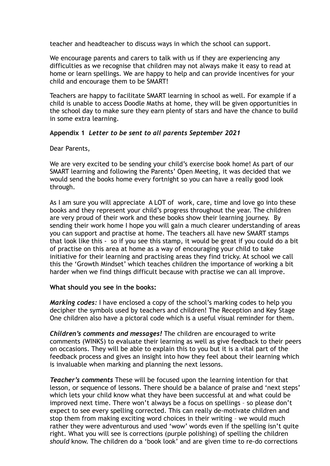teacher and headteacher to discuss ways in which the school can support.

We encourage parents and carers to talk with us if they are experiencing any difficulties as we recognise that children may not always make it easy to read at home or learn spellings. We are happy to help and can provide incentives for your child and encourage them to be SMART!

Teachers are happy to facilitate SMART learning in school as well. For example if a child is unable to access Doodle Maths at home, they will be given opportunities in the school day to make sure they earn plenty of stars and have the chance to build in some extra learning.

#### **Appendix 1** *Letter to be sent to all parents September 2021*

Dear Parents,

We are very excited to be sending your child's exercise book home! As part of our SMART learning and following the Parents' Open Meeting, it was decided that we would send the books home every fortnight so you can have a really good look through.

As I am sure you will appreciate A LOT of work, care, time and love go into these books and they represent your child's progress throughout the year. The children are very proud of their work and these books show their learning journey. By sending their work home I hope you will gain a much clearer understanding of areas you can support and practise at home. The teachers all have new SMART stamps that look like this - so if you see this stamp, it would be great if you could do a bit of practise on this area at home as a way of encouraging your child to take initiative for their learning and practising areas they find tricky. At school we call this the 'Growth Mindset' which teaches children the importance of working a bit harder when we find things difficult because with practise we can all improve.

#### **What should you see in the books:**

*Marking codes:* I have enclosed a copy of the school's marking codes to help you decipher the symbols used by teachers and children! The Reception and Key Stage One children also have a pictoral code which is a useful visual reminder for them.

*Children's comments and messages!* The children are encouraged to write comments (WINKS) to evaluate their learning as well as give feedback to their peers on occasions. They will be able to explain this to you but it is a vital part of the feedback process and gives an insight into how they feel about their learning which is invaluable when marking and planning the next lessons.

*Teacher's comments* These will be focused upon the learning intention for that lesson, or sequence of lessons. There should be a balance of praise and 'next steps' which lets your child know what they have been successful at and what could be improved next time. There won't always be a focus on spellings – so please don't expect to see every spelling corrected. This can really de-motivate children and stop them from making exciting word choices in their writing – we would much rather they were adventurous and used 'wow' words even if the spelling isn't quite right. What you will see is corrections (purple polishing) of spelling the children *should* know. The children do a 'book look' and are given time to re-do corrections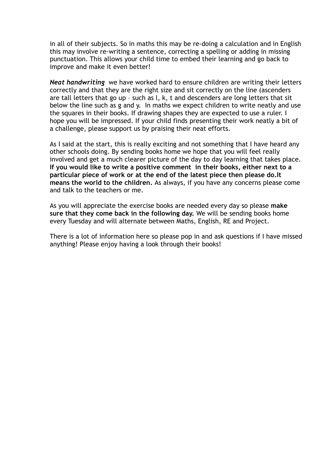in all of their subjects. So in maths this may be re-doing a calculation and in English this may involve re-writing a sentence, correcting a spelling or adding in missing punctuation. This allows your child time to embed their learning and go back to improve and make it even better!

*Neat handwriting* we have worked hard to ensure children are writing their letters correctly and that they are the right size and sit correctly on the line (ascenders are tall letters that go up – such as l, k, t and descenders are long letters that sit below the line such as g and y. In maths we expect children to write neatly and use the squares in their books. If drawing shapes they are expected to use a ruler. I hope you will be impressed. If your child finds presenting their work neatly a bit of a challenge, please support us by praising their neat efforts.

As I said at the start, this is really exciting and not something that I have heard any other schools doing. By sending books home we hope that you will feel really involved and get a much clearer picture of the day to day learning that takes place. **If you would like to write a positive comment in their books, either next to a particular piece of work or at the end of the latest piece then please do.It means the world to the children.** As always, if you have any concerns please come and talk to the teachers or me.

As you will appreciate the exercise books are needed every day so please **make sure that they come back in the following day.** We will be sending books home every Tuesday and will alternate between Maths, English, RE and Project.

There is a lot of information here so please pop in and ask questions if I have missed anything! Please enjoy having a look through their books!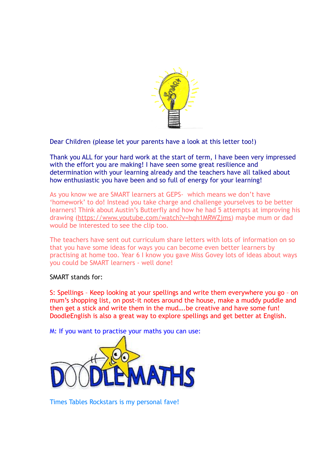

Dear Children (please let your parents have a look at this letter too!)

Thank you ALL for your hard work at the start of term, I have been very impressed with the effort you are making! I have seen some great resilience and determination with your learning already and the teachers have all talked about how enthusiastic you have been and so full of energy for your learning!

As you know we are SMART learners at GEPS- which means we don't have 'homework' to do! Instead you take charge and challenge yourselves to be better learners! Think about Austin's Butterfly and how he had 5 attempts at improving his drawing ([https://www.youtube.com/watch?v=hqh1MRWZjms\)](https://www.youtube.com/watch?v=hqh1MRWZjms) maybe mum or dad would be interested to see the clip too.

The teachers have sent out curriculum share letters with lots of information on so that you have some ideas for ways you can become even better learners by practising at home too. Year 6 I know you gave Miss Govey lots of ideas about ways you could be SMART learners - well done!

#### SMART stands for:

S: Spellings – Keep looking at your spellings and write them everywhere you go – on mum's shopping list, on post-it notes around the house, make a muddy puddle and then get a stick and write them in the mud….be creative and have some fun! DoodleEnglish is also a great way to explore spellings and get better at English.

M: If you want to practise your maths you can use:



Times Tables Rockstars is my personal fave!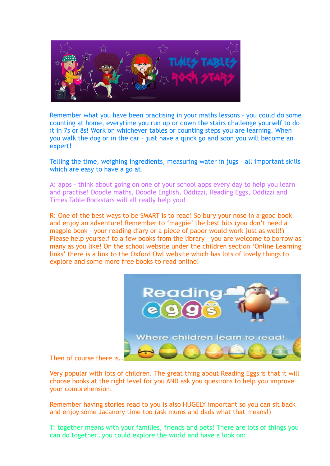

Remember what you have been practising in your maths lessons – you could do some counting at home, everytime you run up or down the stairs challenge yourself to do it in 7s or 8s! Work on whichever tables or counting steps you are learning. When you walk the dog or in the car – just have a quick go and soon you will become an expert!

Telling the time, weighing ingredients, measuring water in jugs – all important skills which are easy to have a go at.

A: apps - think about going on one of your school apps every day to help you learn and practise! Doodle maths, Doodle English, Oddizzi, Reading Eggs, Oddizzi and Times Table Rockstars will all really help you!

R: One of the best ways to be SMART is to read! So bury your nose in a good book and enjoy an adventure! Remember to 'magpie' the best bits (you don't need a magpie book – your reading diary or a piece of paper would work just as well!) Please help yourself to a few books from the library – you are welcome to borrow as many as you like! On the school website under the children section 'Online Learning links' there is a link to the Oxford Owl website which has lots of lovely things to explore and some more free books to read online!



#### Then of course there is…

Very popular with lots of children. The great thing about Reading Eggs is that it will choose books at the right level for you AND ask you questions to help you improve your comprehension.

Remember having stories read to you is also HUGELY important so you can sit back and enjoy some Jacanory time too (ask mums and dads what that means!)

T: together means with your families, friends and pets! There are lots of things you can do together…you could explore the world and have a look on: